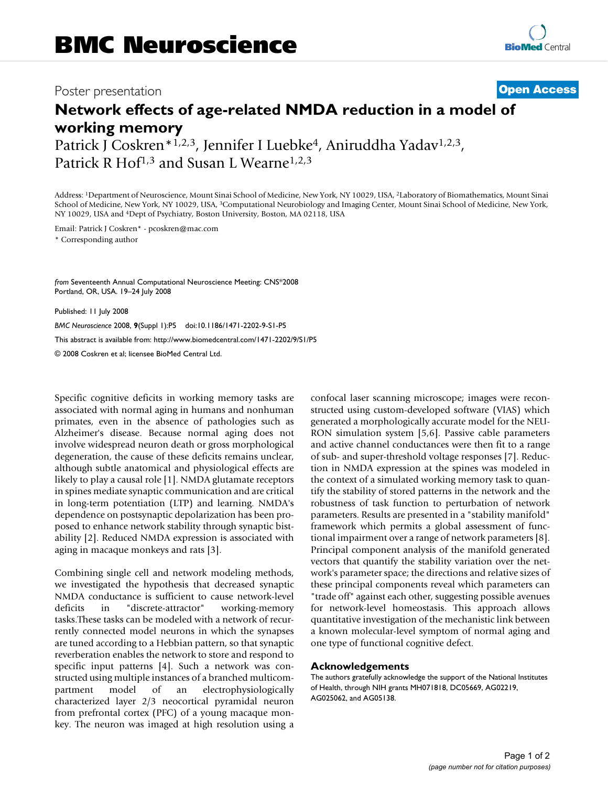## Poster presentation **Contract Contract Contract Contract Contract Contract Contract Contract Contract Contract Contract Contract Contract Contract Contract Contract Contract Contract Contract Contract Contract Contract Con**

## **Network effects of age-related NMDA reduction in a model of working memory**

Patrick J Coskren\*<sup>1,2,3</sup>, Jennifer I Luebke<sup>4</sup>, Aniruddha Yadav<sup>1,2,3</sup>, Patrick R Hof<sup>1,3</sup> and Susan L Wearne<sup>1,2,3</sup>

Address: 1Department of Neuroscience, Mount Sinai School of Medicine, New York, NY 10029, USA, 2Laboratory of Biomathematics, Mount Sinai School of Medicine, New York, NY 10029, USA, 3Computational Neurobiology and Imaging Center, Mount Sinai School of Medicine, New York, NY 10029, USA and 4Dept of Psychiatry, Boston University, Boston, MA 02118, USA

Email: Patrick J Coskren\* - pcoskren@mac.com \* Corresponding author

*from* Seventeenth Annual Computational Neuroscience Meeting: CNS\*2008 Portland, OR, USA. 19–24 July 2008

Published: 11 July 2008

*BMC Neuroscience* 2008, **9**(Suppl 1):P5 doi:10.1186/1471-2202-9-S1-P5 [This abstract is available from: http://www.biomedcentral.com/1471-2202/9/S1/P5](http://www.biomedcentral.com/1471-2202/9/S1/P5) © 2008 Coskren et al; licensee BioMed Central Ltd.

Specific cognitive deficits in working memory tasks are associated with normal aging in humans and nonhuman primates, even in the absence of pathologies such as Alzheimer's disease. Because normal aging does not involve widespread neuron death or gross morphological degeneration, the cause of these deficits remains unclear, although subtle anatomical and physiological effects are likely to play a causal role [1]. NMDA glutamate receptors in spines mediate synaptic communication and are critical in long-term potentiation (LTP) and learning. NMDA's dependence on postsynaptic depolarization has been proposed to enhance network stability through synaptic bistability [2]. Reduced NMDA expression is associated with aging in macaque monkeys and rats [3].

Combining single cell and network modeling methods, we investigated the hypothesis that decreased synaptic NMDA conductance is sufficient to cause network-level deficits in "discrete-attractor" working-memory tasks.These tasks can be modeled with a network of recurrently connected model neurons in which the synapses are tuned according to a Hebbian pattern, so that synaptic reverberation enables the network to store and respond to specific input patterns [4]. Such a network was constructed using multiple instances of a branched multicompartment model of an electrophysiologically characterized layer 2/3 neocortical pyramidal neuron from prefrontal cortex (PFC) of a young macaque monkey. The neuron was imaged at high resolution using a confocal laser scanning microscope; images were reconstructed using custom-developed software (VIAS) which generated a morphologically accurate model for the NEU-RON simulation system [5,6]. Passive cable parameters and active channel conductances were then fit to a range of sub- and super-threshold voltage responses [7]. Reduction in NMDA expression at the spines was modeled in the context of a simulated working memory task to quantify the stability of stored patterns in the network and the robustness of task function to perturbation of network parameters. Results are presented in a "stability manifold" framework which permits a global assessment of functional impairment over a range of network parameters [8]. Principal component analysis of the manifold generated vectors that quantify the stability variation over the network's parameter space; the directions and relative sizes of these principal components reveal which parameters can "trade off" against each other, suggesting possible avenues for network-level homeostasis. This approach allows quantitative investigation of the mechanistic link between a known molecular-level symptom of normal aging and one type of functional cognitive defect.

## **Acknowledgements**

The authors gratefully acknowledge the support of the National Institutes of Health, through NIH grants MH071818, DC05669, AG02219, AG025062, and AG05138.